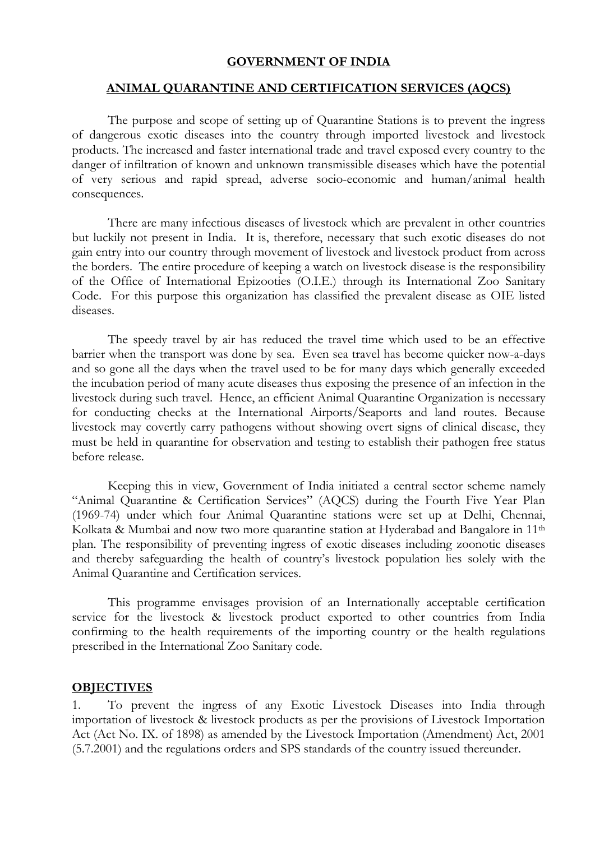#### **GOVERNMENT OF INDIA**

#### **ANIMAL QUARANTINE AND CERTIFICATION SERVICES (AQCS)**

The purpose and scope of setting up of Quarantine Stations is to prevent the ingress of dangerous exotic diseases into the country through imported livestock and livestock products. The increased and faster international trade and travel exposed every country to the danger of infiltration of known and unknown transmissible diseases which have the potential of very serious and rapid spread, adverse socio-economic and human/animal health consequences.

There are many infectious diseases of livestock which are prevalent in other countries but luckily not present in India. It is, therefore, necessary that such exotic diseases do not gain entry into our country through movement of livestock and livestock product from across the borders. The entire procedure of keeping a watch on livestock disease is the responsibility of the Office of International Epizooties (O.I.E.) through its International Zoo Sanitary Code. For this purpose this organization has classified the prevalent disease as OIE listed diseases.

The speedy travel by air has reduced the travel time which used to be an effective barrier when the transport was done by sea. Even sea travel has become quicker now-a-days and so gone all the days when the travel used to be for many days which generally exceeded the incubation period of many acute diseases thus exposing the presence of an infection in the livestock during such travel. Hence, an efficient Animal Quarantine Organization is necessary for conducting checks at the International Airports/Seaports and land routes. Because livestock may covertly carry pathogens without showing overt signs of clinical disease, they must be held in quarantine for observation and testing to establish their pathogen free status before release.

Keeping this in view, Government of India initiated a central sector scheme namely "Animal Quarantine & Certification Services" (AQCS) during the Fourth Five Year Plan (1969-74) under which four Animal Quarantine stations were set up at Delhi, Chennai, Kolkata & Mumbai and now two more quarantine station at Hyderabad and Bangalore in 11<sup>th</sup> plan. The responsibility of preventing ingress of exotic diseases including zoonotic diseases and thereby safeguarding the health of country's livestock population lies solely with the Animal Quarantine and Certification services.

This programme envisages provision of an Internationally acceptable certification service for the livestock & livestock product exported to other countries from India confirming to the health requirements of the importing country or the health regulations prescribed in the International Zoo Sanitary code.

#### **OBJECTIVES**

1. To prevent the ingress of any Exotic Livestock Diseases into India through importation of livestock & livestock products as per the provisions of Livestock Importation Act (Act No. IX. of 1898) as amended by the Livestock Importation (Amendment) Act, 2001 (5.7.2001) and the regulations orders and SPS standards of the country issued thereunder.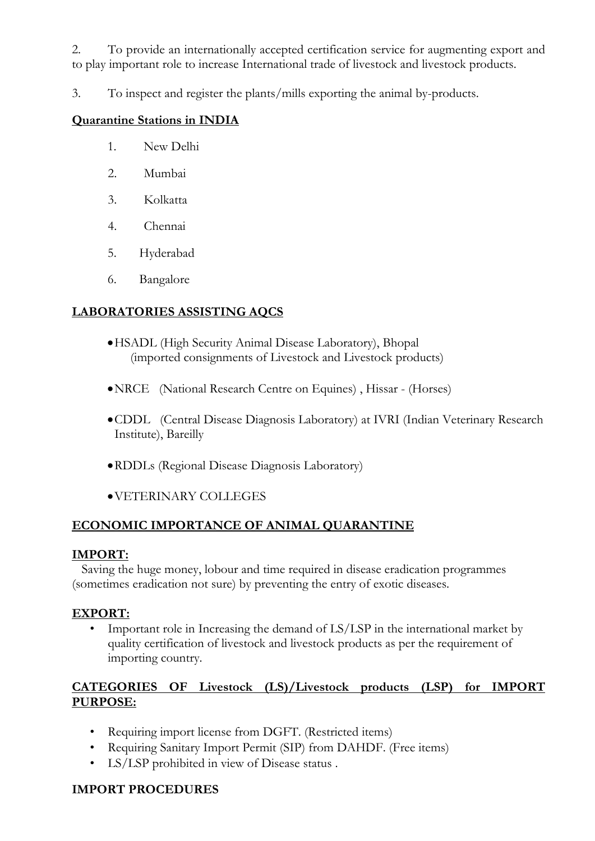2. To provide an internationally accepted certification service for augmenting export and to play important role to increase International trade of livestock and livestock products.

3. To inspect and register the plants/mills exporting the animal by-products.

#### **Quarantine Stations in INDIA**

- 1. New Delhi
- 2. Mumbai
- 3. Kolkatta
- 4. Chennai
- 5. Hyderabad
- 6. Bangalore

#### **LABORATORIES ASSISTING AQCS**

- •HSADL (High Security Animal Disease Laboratory), Bhopal (imported consignments of Livestock and Livestock products)
- •NRCE (National Research Centre on Equines) , Hissar (Horses)
- •CDDL (Central Disease Diagnosis Laboratory) at IVRI (Indian Veterinary Research Institute), Bareilly
- •RDDLs (Regional Disease Diagnosis Laboratory)
- •VETERINARY COLLEGES

#### **ECONOMIC IMPORTANCE OF ANIMAL QUARANTINE**

#### **IMPORT:**

 Saving the huge money, lobour and time required in disease eradication programmes (sometimes eradication not sure) by preventing the entry of exotic diseases.

#### **EXPORT:**

Important role in Increasing the demand of LS/LSP in the international market by quality certification of livestock and livestock products as per the requirement of importing country.

## **CATEGORIES OF Livestock (LS)/Livestock products (LSP) for IMPORT PURPOSE:**

- Requiring import license from DGFT. (Restricted items)
- Requiring Sanitary Import Permit (SIP) from DAHDF. (Free items)
- LS/LSP prohibited in view of Disease status .

## **IMPORT PROCEDURES**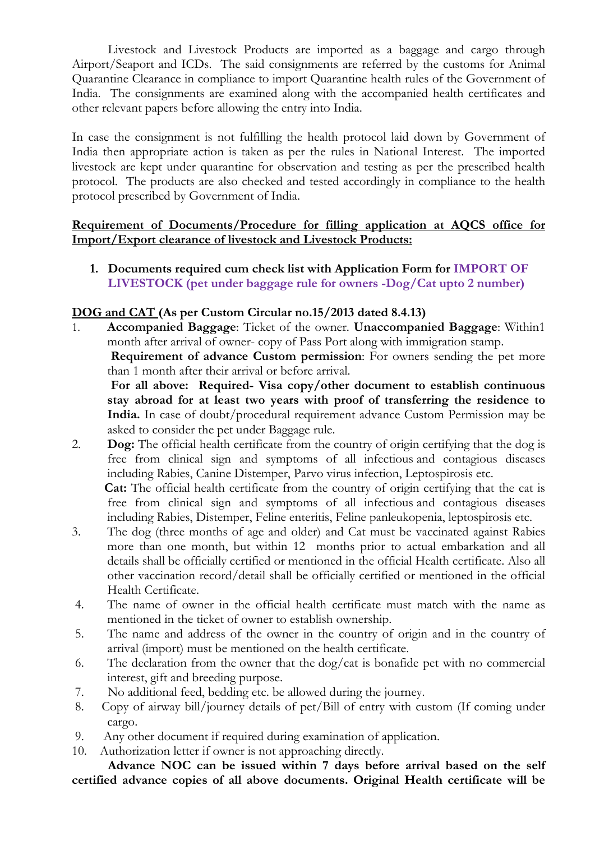Livestock and Livestock Products are imported as a baggage and cargo through Airport/Seaport and ICDs. The said consignments are referred by the customs for Animal Quarantine Clearance in compliance to import Quarantine health rules of the Government of India. The consignments are examined along with the accompanied health certificates and other relevant papers before allowing the entry into India.

In case the consignment is not fulfilling the health protocol laid down by Government of India then appropriate action is taken as per the rules in National Interest. The imported livestock are kept under quarantine for observation and testing as per the prescribed health protocol. The products are also checked and tested accordingly in compliance to the health protocol prescribed by Government of India.

#### **Requirement of Documents/Procedure for filling application at AQCS office for Import/Export clearance of livestock and Livestock Products:**

**1. Documents required cum check list with Application Form for IMPORT OF LIVESTOCK (pet under baggage rule for owners -Dog/Cat upto 2 number)** 

#### **DOG and CAT (As per Custom Circular no.15/2013 dated 8.4.13)**

1. **Accompanied Baggage**: Ticket of the owner. **Unaccompanied Baggage**: Within1 month after arrival of owner- copy of Pass Port along with immigration stamp.  **Requirement of advance Custom permission**: For owners sending the pet more

than 1 month after their arrival or before arrival.

 **For all above: Required- Visa copy/other document to establish continuous stay abroad for at least two years with proof of transferring the residence to India.** In case of doubt/procedural requirement advance Custom Permission may be asked to consider the pet under Baggage rule.

2. **Dog:** The official health certificate from the country of origin certifying that the dog is free from clinical sign and symptoms of all infectious and contagious diseases including Rabies, Canine Distemper, Parvo virus infection, Leptospirosis etc.

 **Cat:** The official health certificate from the country of origin certifying that the cat is free from clinical sign and symptoms of all infectious and contagious diseases including Rabies, Distemper, Feline enteritis, Feline panleukopenia, leptospirosis etc.

- 3. The dog (three months of age and older) and Cat must be vaccinated against Rabies more than one month, but within 12 months prior to actual embarkation and all details shall be officially certified or mentioned in the official Health certificate. Also all other vaccination record/detail shall be officially certified or mentioned in the official Health Certificate.
- 4. The name of owner in the official health certificate must match with the name as mentioned in the ticket of owner to establish ownership.
- 5. The name and address of the owner in the country of origin and in the country of arrival (import) must be mentioned on the health certificate.
- 6. The declaration from the owner that the  $\frac{d\alpha}{dt}$  is bonafide pet with no commercial interest, gift and breeding purpose.
- 7. No additional feed, bedding etc. be allowed during the journey.
- 8. Copy of airway bill/journey details of pet/Bill of entry with custom (If coming under cargo.
- 9. Any other document if required during examination of application.
- 10. Authorization letter if owner is not approaching directly.

**Advance NOC can be issued within 7 days before arrival based on the self certified advance copies of all above documents. Original Health certificate will be**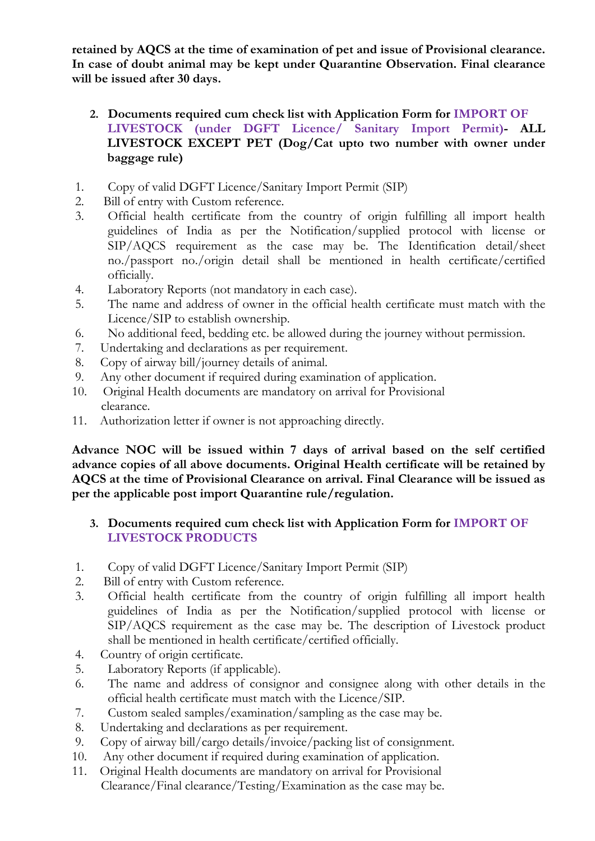**retained by AQCS at the time of examination of pet and issue of Provisional clearance. In case of doubt animal may be kept under Quarantine Observation. Final clearance will be issued after 30 days.** 

- **2. Documents required cum check list with Application Form for IMPORT OF LIVESTOCK (under DGFT Licence/ Sanitary Import Permit)- ALL LIVESTOCK EXCEPT PET (Dog/Cat upto two number with owner under baggage rule)**
- 1. Copy of valid DGFT Licence/Sanitary Import Permit (SIP)
- 2. Bill of entry with Custom reference.
- 3. Official health certificate from the country of origin fulfilling all import health guidelines of India as per the Notification/supplied protocol with license or SIP/AQCS requirement as the case may be. The Identification detail/sheet no./passport no./origin detail shall be mentioned in health certificate/certified officially.
- 4. Laboratory Reports (not mandatory in each case).
- 5. The name and address of owner in the official health certificate must match with the Licence/SIP to establish ownership.
- 6. No additional feed, bedding etc. be allowed during the journey without permission.
- 7. Undertaking and declarations as per requirement.
- 8. Copy of airway bill/journey details of animal.
- 9. Any other document if required during examination of application.
- 10. Original Health documents are mandatory on arrival for Provisional clearance.
- 11. Authorization letter if owner is not approaching directly.

**Advance NOC will be issued within 7 days of arrival based on the self certified advance copies of all above documents. Original Health certificate will be retained by AQCS at the time of Provisional Clearance on arrival. Final Clearance will be issued as per the applicable post import Quarantine rule/regulation.** 

#### **3. Documents required cum check list with Application Form for IMPORT OF LIVESTOCK PRODUCTS**

- 1. Copy of valid DGFT Licence/Sanitary Import Permit (SIP)
- 2. Bill of entry with Custom reference.
- 3. Official health certificate from the country of origin fulfilling all import health guidelines of India as per the Notification/supplied protocol with license or SIP/AQCS requirement as the case may be. The description of Livestock product shall be mentioned in health certificate/certified officially.
- 4. Country of origin certificate.
- 5. Laboratory Reports (if applicable).
- 6. The name and address of consignor and consignee along with other details in the official health certificate must match with the Licence/SIP.
- 7. Custom sealed samples/examination/sampling as the case may be.
- 8. Undertaking and declarations as per requirement.
- 9. Copy of airway bill/cargo details/invoice/packing list of consignment.
- 10. Any other document if required during examination of application.
- 11. Original Health documents are mandatory on arrival for Provisional Clearance/Final clearance/Testing/Examination as the case may be.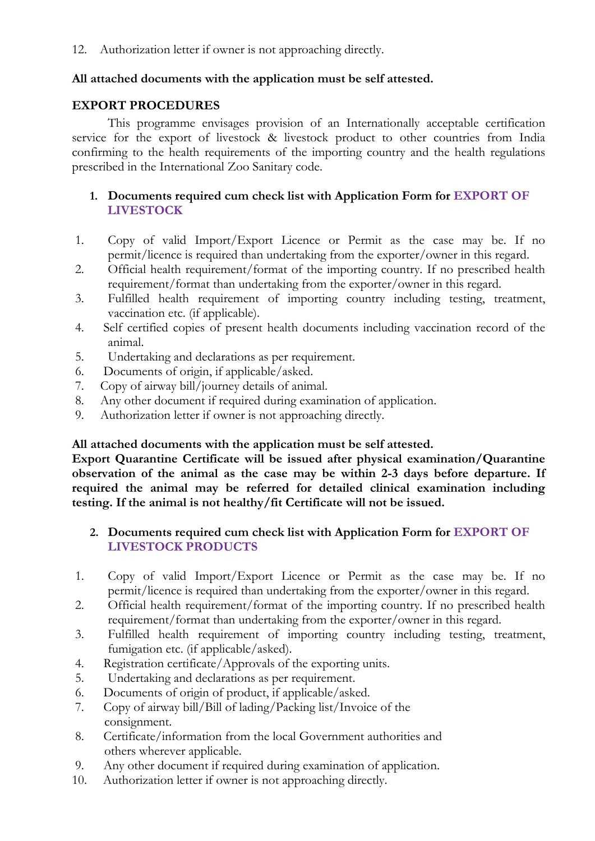12. Authorization letter if owner is not approaching directly.

#### **All attached documents with the application must be self attested.**

#### **EXPORT PROCEDURES**

This programme envisages provision of an Internationally acceptable certification service for the export of livestock & livestock product to other countries from India confirming to the health requirements of the importing country and the health regulations prescribed in the International Zoo Sanitary code.

#### **1. Documents required cum check list with Application Form for EXPORT OF LIVESTOCK**

- 1. Copy of valid Import/Export Licence or Permit as the case may be. If no permit/licence is required than undertaking from the exporter/owner in this regard.
- 2. Official health requirement/format of the importing country. If no prescribed health requirement/format than undertaking from the exporter/owner in this regard.
- 3. Fulfilled health requirement of importing country including testing, treatment, vaccination etc. (if applicable).
- 4. Self certified copies of present health documents including vaccination record of the animal.
- 5. Undertaking and declarations as per requirement.
- 6. Documents of origin, if applicable/asked.
- 7. Copy of airway bill/journey details of animal.
- 8. Any other document if required during examination of application.
- 9. Authorization letter if owner is not approaching directly.

#### **All attached documents with the application must be self attested.**

**Export Quarantine Certificate will be issued after physical examination/Quarantine observation of the animal as the case may be within 2-3 days before departure. If required the animal may be referred for detailed clinical examination including testing. If the animal is not healthy/fit Certificate will not be issued.** 

#### **2. Documents required cum check list with Application Form for EXPORT OF LIVESTOCK PRODUCTS**

- 1. Copy of valid Import/Export Licence or Permit as the case may be. If no permit/licence is required than undertaking from the exporter/owner in this regard.
- 2. Official health requirement/format of the importing country. If no prescribed health requirement/format than undertaking from the exporter/owner in this regard.
- 3. Fulfilled health requirement of importing country including testing, treatment, fumigation etc. (if applicable/asked).
- 4. Registration certificate/Approvals of the exporting units.
- 5. Undertaking and declarations as per requirement.
- 6. Documents of origin of product, if applicable/asked.
- 7. Copy of airway bill/Bill of lading/Packing list/Invoice of the consignment.
- 8. Certificate/information from the local Government authorities and others wherever applicable.
- 9. Any other document if required during examination of application.
- 10. Authorization letter if owner is not approaching directly.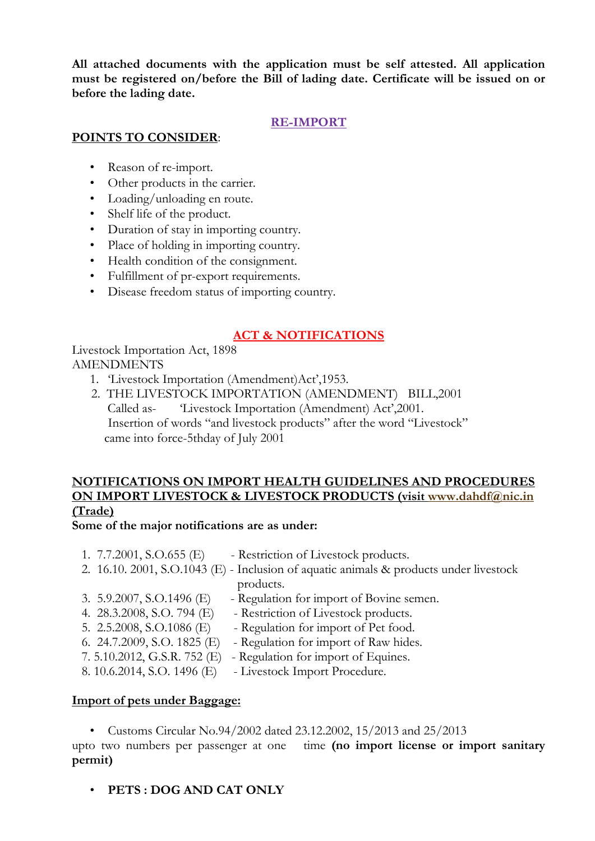**All attached documents with the application must be self attested. All application must be registered on/before the Bill of lading date. Certificate will be issued on or before the lading date.** 

#### **RE-IMPORT**

#### **POINTS TO CONSIDER**:

- Reason of re-import.
- Other products in the carrier.
- Loading/unloading en route.
- Shelf life of the product.
- Duration of stay in importing country.
- Place of holding in importing country.
- Health condition of the consignment.
- Fulfillment of pr-export requirements.
- Disease freedom status of importing country.

#### **ACT & NOTIFICATIONS**

Livestock Importation Act, 1898 AMENDMENTS

- 1. 'Livestock Importation (Amendment)Act',1953.
- 2. THE LIVESTOCK IMPORTATION (AMENDMENT) BILL,2001 Called as- 'Livestock Importation (Amendment) Act',2001. Insertion of words "and livestock products" after the word "Livestock" came into force-5thday of July 2001

### **NOTIFICATIONS ON IMPORT HEALTH GUIDELINES AND PROCEDURES ON IMPORT LIVESTOCK & LIVESTOCK PRODUCTS (visit [www.dahdf@nic.in](http://www.dahdf@nic.in/) (Trade)**

#### **Some of the major notifications are as under:**

- 1.  $7.7.2001$ , S.O.655 (E) Restriction of Livestock products. 2. 16.10. 2001, S.O.1043 (E) - Inclusion of aquatic animals & products under livestock products. 3. 5.9.2007, S.O.1496 (E) - Regulation for import of Bovine semen. 4. 28.3.2008, S.O. 794 (E) - Restriction of Livestock products. 5. 2.5.2008, S.O.1086 (E) - Regulation for import of Pet food. 6. 24.7.2009, S.O. 1825 (E) - Regulation for import of Raw hides.
- 7. 5.10.2012, G.S.R. 752 (E) Regulation for import of Equines.
- 8. 10.6.2014, S.O. 1496 (E) Livestock Import Procedure.

#### **Import of pets under Baggage:**

• Customs Circular No.94/2002 dated 23.12.2002, 15/2013 and 25/2013

upto two numbers per passenger at one time **(no import license or import sanitary permit)** 

• **PETS : DOG AND CAT ONLY**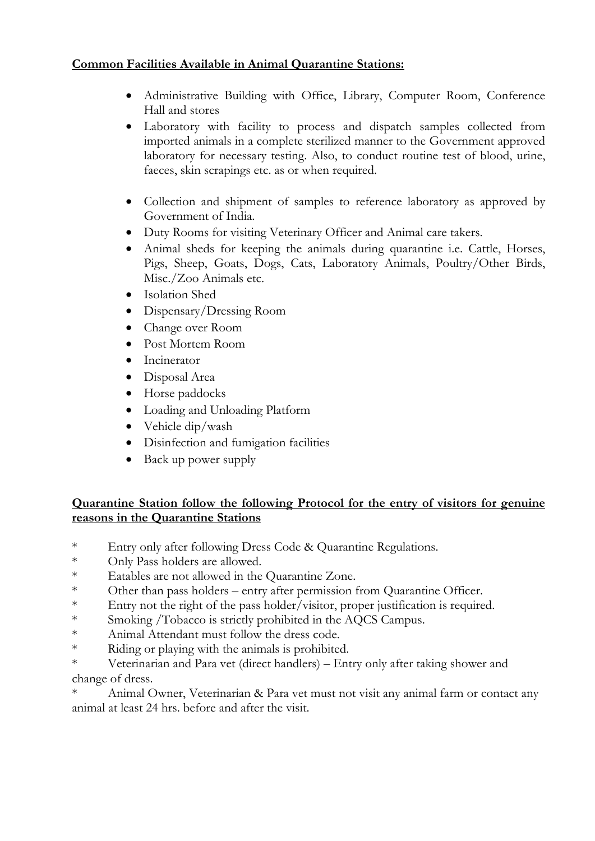#### **Common Facilities Available in Animal Quarantine Stations:**

- Administrative Building with Office, Library, Computer Room, Conference Hall and stores
- Laboratory with facility to process and dispatch samples collected from imported animals in a complete sterilized manner to the Government approved laboratory for necessary testing. Also, to conduct routine test of blood, urine, faeces, skin scrapings etc. as or when required.
- Collection and shipment of samples to reference laboratory as approved by Government of India.
- Duty Rooms for visiting Veterinary Officer and Animal care takers.
- Animal sheds for keeping the animals during quarantine i.e. Cattle, Horses, Pigs, Sheep, Goats, Dogs, Cats, Laboratory Animals, Poultry/Other Birds, Misc./Zoo Animals etc.
- Isolation Shed
- Dispensary/Dressing Room
- Change over Room
- Post Mortem Room
- Incinerator
- Disposal Area
- Horse paddocks
- Loading and Unloading Platform
- Vehicle dip/wash
- Disinfection and fumigation facilities
- Back up power supply

#### **Quarantine Station follow the following Protocol for the entry of visitors for genuine reasons in the Quarantine Stations**

- \* Entry only after following Dress Code & Quarantine Regulations.
- \* Only Pass holders are allowed.
- \* Eatables are not allowed in the Quarantine Zone.
- \* Other than pass holders entry after permission from Quarantine Officer.
- \* Entry not the right of the pass holder/visitor, proper justification is required.
- \* Smoking /Tobacco is strictly prohibited in the AQCS Campus.
- \* Animal Attendant must follow the dress code.
- \* Riding or playing with the animals is prohibited.

\* Veterinarian and Para vet (direct handlers) – Entry only after taking shower and change of dress.

Animal Owner, Veterinarian & Para vet must not visit any animal farm or contact any animal at least 24 hrs. before and after the visit.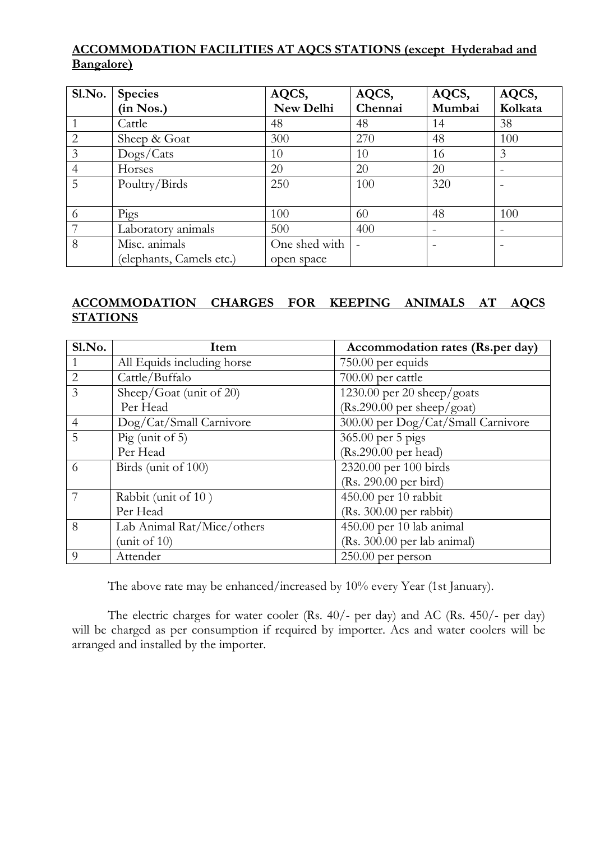### **ACCOMMODATION FACILITIES AT AQCS STATIONS (except Hyderabad and Bangalore)**

| Sl.No.         | <b>Species</b>           | AQCS,         | AQCS,   | AQCS,                    | AQCS,   |
|----------------|--------------------------|---------------|---------|--------------------------|---------|
|                | (in Nos.)                | New Delhi     | Chennai | Mumbai                   | Kolkata |
|                | Cattle                   | 48            | 48      | 14                       | 38      |
| $\overline{2}$ | Sheep & Goat             | 300           | 270     | 48                       | 100     |
| 3              | Dogs/Cats                | 10            | 10      | 16                       | 3       |
| $\overline{4}$ | Horses                   | 20            | 20      | 20                       |         |
| 5              | Poultry/Birds            | 250           | 100     | 320                      |         |
|                |                          |               |         |                          |         |
| 6              | Pigs                     | 100           | 60      | 48                       | 100     |
|                | Laboratory animals       | 500           | 400     | $\overline{\phantom{0}}$ |         |
| 8              | Misc. animals            | One shed with |         |                          |         |
|                | (elephants, Camels etc.) | open space    |         |                          |         |

#### **ACCOMMODATION CHARGES FOR KEEPING ANIMALS AT AQCS STATIONS**

| Sl.No.         | Item                       | Accommodation rates (Rs.per day)     |
|----------------|----------------------------|--------------------------------------|
|                | All Equids including horse | 750.00 per equids                    |
| $\overline{2}$ | Cattle/Buffalo             | 700.00 per cattle                    |
| 3              | Sheep/Goat (unit of 20)    | 1230.00 per 20 sheep/goats           |
|                | Per Head                   | $(Rs.290.00 \text{ per sheep/goat})$ |
| $\overline{4}$ | Dog/Cat/Small Carnivore    | 300.00 per Dog/Cat/Small Carnivore   |
| $\overline{5}$ | $\text{Pig}$ (unit of 5)   | 365.00 per 5 pigs                    |
|                | Per Head                   | $(Rs.290.00 \text{ per head})$       |
| 6              | Birds (unit of 100)        | 2320.00 per 100 birds                |
|                |                            | $(Rs. 290.00 \text{ per bird})$      |
|                | Rabbit (unit of 10)        | 450.00 per 10 rabbit                 |
|                | Per Head                   | (Rs. 300.00 per rabbit)              |
| 8              | Lab Animal Rat/Mice/others | 450.00 per 10 lab animal             |
|                | (unit of $10$ )            | (Rs. 300.00 per lab animal)          |
| $\Omega$       | Attender                   | $250.00$ per person                  |

The above rate may be enhanced/increased by 10% every Year (1st January).

 The electric charges for water cooler (Rs. 40/- per day) and AC (Rs. 450/- per day) will be charged as per consumption if required by importer. Acs and water coolers will be arranged and installed by the importer.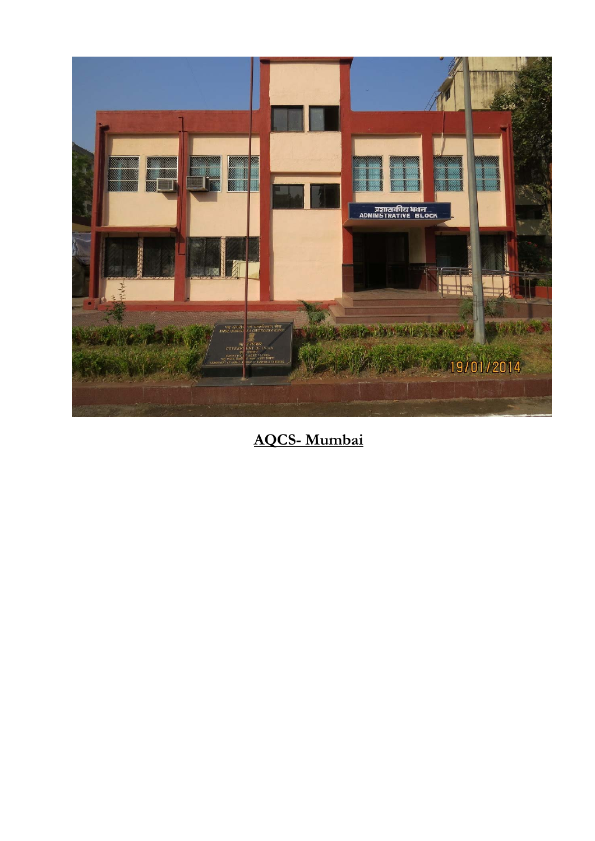

**AQCS- Mumbai**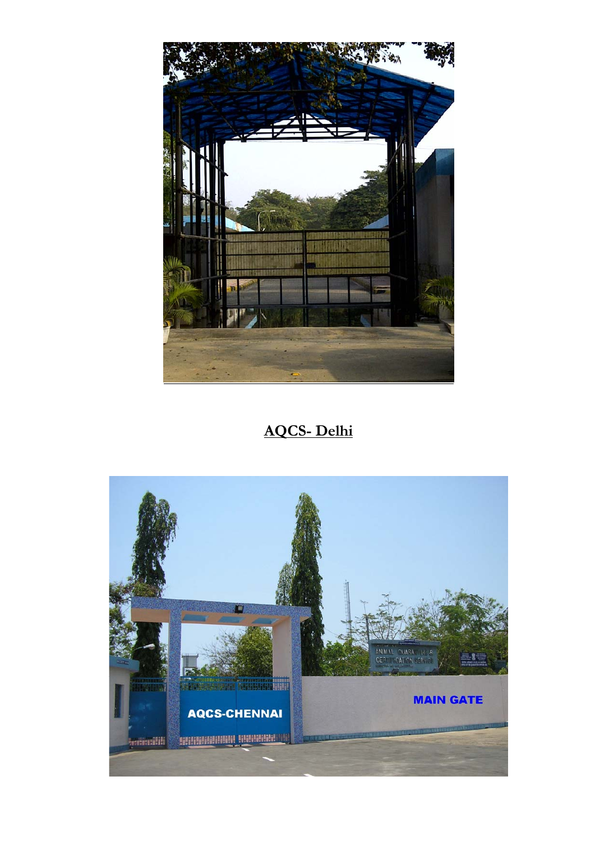

## **AQCS- Delhi**